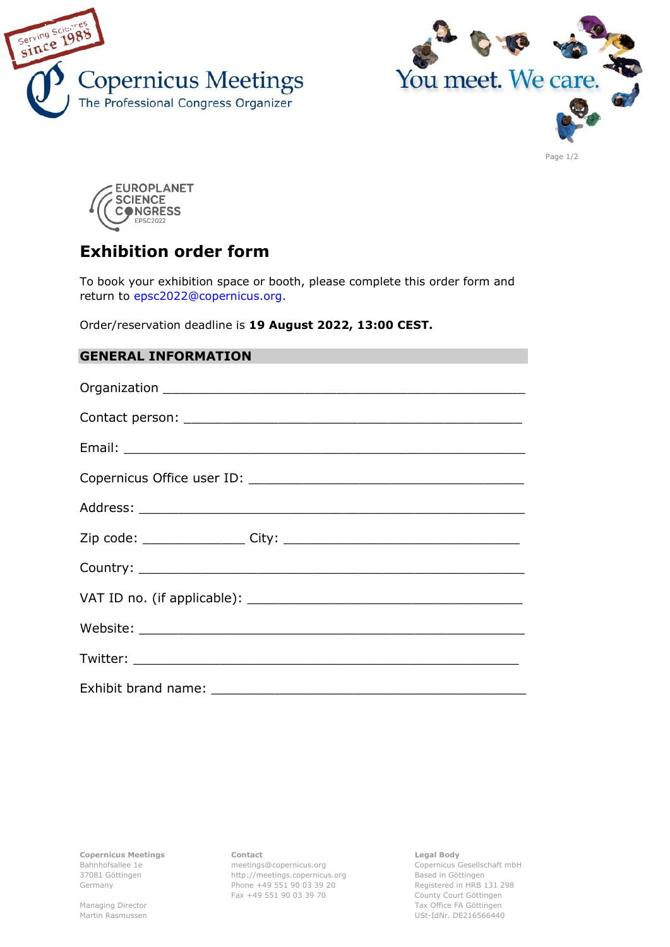





# **Exhibition order form**

To book your exhibition space or booth, please complete this order form and return to epsc2022@copernicus.org.

Order/reservation deadline is **19 August 2022, 13:00 CEST.**

# **GENERAL INFORMATION**

**Copernicus Meetings** Bahnhofsallee 1e 37081 Göttingen Germany

Managing Director Martin Rasmussen **Contact** meetings@copernicus.org http://meetings.copernicus.org Phone +49 551 90 03 39 20 Fax +49 551 90 03 39 70

**Legal Body**

Copernicus Gesellschaft mbH Based in Göttingen Registered in HRB 131 298 County Court Göttingen Tax Office FA Göttingen USt-IdNr. DE216566440